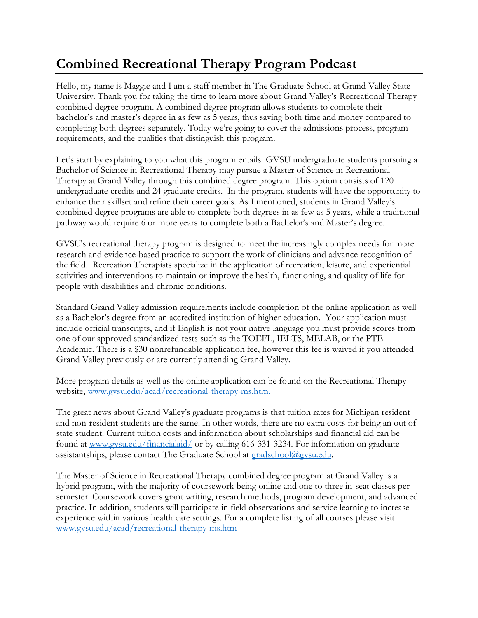## **Combined Recreational Therapy Program Podcast**

Hello, my name is Maggie and I am a staff member in The Graduate School at Grand Valley State University. Thank you for taking the time to learn more about Grand Valley's Recreational Therapy combined degree program. A combined degree program allows students to complete their bachelor's and master's degree in as few as 5 years, thus saving both time and money compared to completing both degrees separately. Today we're going to cover the admissions process, program requirements, and the qualities that distinguish this program.

Let's start by explaining to you what this program entails. GVSU undergraduate students pursuing a Bachelor of Science in Recreational Therapy may pursue a Master of Science in Recreational Therapy at Grand Valley through this combined degree program. This option consists of 120 undergraduate credits and 24 graduate credits. In the program, students will have the opportunity to enhance their skillset and refine their career goals. As I mentioned, students in Grand Valley's combined degree programs are able to complete both degrees in as few as 5 years, while a traditional pathway would require 6 or more years to complete both a Bachelor's and Master's degree.

GVSU's recreational therapy program is designed to meet the increasingly complex needs for more research and evidence-based practice to support the work of clinicians and advance recognition of the field. Recreation Therapists specialize in the application of recreation, leisure, and experiential activities and interventions to maintain or improve the health, functioning, and quality of life for people with disabilities and chronic conditions.

Standard Grand Valley admission requirements include completion of the online application as well as a Bachelor's degree from an accredited institution of higher education. Your application must include official transcripts, and if English is not your native language you must provide scores from one of our approved standardized tests such as the TOEFL, IELTS, MELAB, or the PTE Academic. There is a \$30 nonrefundable application fee, however this fee is waived if you attended Grand Valley previously or are currently attending Grand Valley.

More program details as well as the online application can be found on the Recreational Therapy website, [www.gvsu.edu/acad/recreational-therapy-ms.htm.](http://www.gvsu.edu/acad/recreational-therapy-ms.htm)

The great news about Grand Valley's graduate programs is that tuition rates for Michigan resident and non-resident students are the same. In other words, there are no extra costs for being an out of state student. Current tuition costs and information about scholarships and financial aid can be found at [www.gvsu.edu/financialaid/](https://www.gvsu.edu/financialaid/) or by calling 616-331-3234. For information on graduate assistantships, please contact The Graduate School at [gradschool@gvsu.edu.](mailto:gradschool@gvsu.edu)

The Master of Science in Recreational Therapy combined degree program at Grand Valley is a hybrid program, with the majority of coursework being online and one to three in-seat classes per semester. Coursework covers grant writing, research methods, program development, and advanced practice. In addition, students will participate in field observations and service learning to increase experience within various health care settings. For a complete listing of all courses please visit [www.gvsu.edu/acad/recreational-therapy-ms.htm](https://www.gvsu.edu/acad/recreational-therapy-ms.htm)